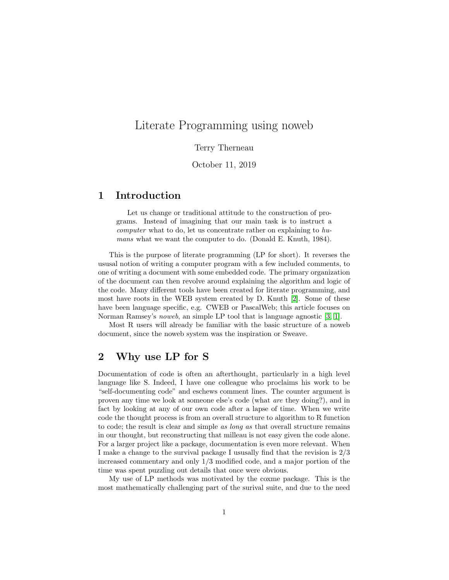# <span id="page-0-0"></span>Literate Programming using noweb

#### Terry Therneau

#### October 11, 2019

#### 1 Introduction

Let us change or traditional attitude to the construction of programs. Instead of imagining that our main task is to instruct a computer what to do, let us concentrate rather on explaining to humans what we want the computer to do. (Donald E. Knuth, 1984).

This is the purpose of literate programming (LP for short). It reverses the ususal notion of writing a computer program with a few included comments, to one of writing a document with some embedded code. The primary organization of the document can then revolve around explaining the algorithm and logic of the code. Many different tools have been created for literate programming, and most have roots in the WEB system created by D. Knuth [\[2\]](#page-5-0). Some of these have been language specific, e.g. CWEB or PascalWeb; this article focuses on Norman Ramsey's noweb, an simple LP tool that is language agnostic [\[3,](#page-5-1) [1\]](#page-5-2).

Most R users will already be familiar with the basic structure of a noweb document, since the noweb system was the inspiration or Sweave.

#### 2 Why use LP for S

Documentation of code is often an afterthought, particularly in a high level language like S. Indeed, I have one colleague who proclaims his work to be "self-documenting code" and eschews comment lines. The counter argument is proven any time we look at someone else's code (what are they doing?), and in fact by looking at any of our own code after a lapse of time. When we write code the thought process is from an overall structure to algorithm to R function to code; the result is clear and simple as long as that overall structure remains in our thought, but reconstructing that milleau is not easy given the code alone. For a larger project like a package, documentation is even more relevant. When I make a change to the survival package I ususally find that the revision is 2/3 increased commentary and only 1/3 modified code, and a major portion of the time was spent puzzling out details that once were obvious.

My use of LP methods was motivated by the coxme package. This is the most mathematically challenging part of the surival suite, and due to the need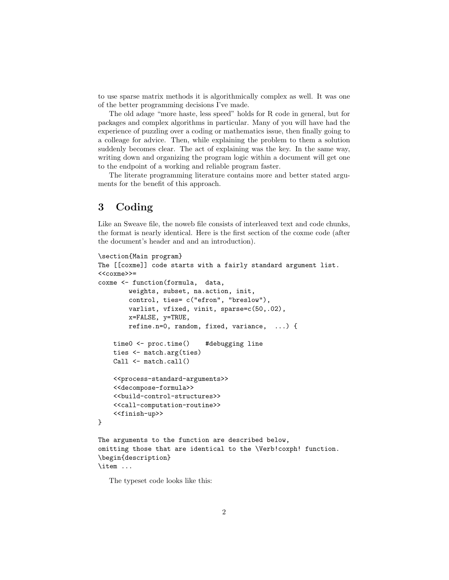to use sparse matrix methods it is algorithmically complex as well. It was one of the better programming decisions I've made.

The old adage "more haste, less speed" holds for R code in general, but for packages and complex algorithms in particular. Many of you will have had the experience of puzzling over a coding or mathematics issue, then finally going to a colleage for advice. Then, while explaining the problem to them a solution suddenly becomes clear. The act of explaining was the key. In the same way, writing down and organizing the program logic within a document will get one to the endpoint of a working and reliable program faster.

The literate programming literature contains more and better stated arguments for the benefit of this approach.

## 3 Coding

Like an Sweave file, the noweb file consists of interleaved text and code chunks, the format is nearly identical. Here is the first section of the coxme code (after the document's header and and an introduction).

```
\section{Main program}
The [[coxme]] code starts with a fairly standard argument list.
<<coxme>>=
coxme <- function(formula, data,
        weights, subset, na.action, init,
        control, ties= c("efron", "breslow"),
        varlist, vfixed, vinit, sparse=c(50,.02),
        x=FALSE, y=TRUE,
        refine.n=0, random, fixed, variance, ...) {
    time0 <- proc.time() #debugging line
    ties <- match.arg(ties)
    Call \leftarrow match.call()
    <<process-standard-arguments>>
    <<decompose-formula>>
    <<build-control-structures>>
    <<call-computation-routine>>
    <<finish-up>>
}
The arguments to the function are described below,
omitting those that are identical to the \Verb!coxph! function.
\begin{description}
```
\item ...

The typeset code looks like this: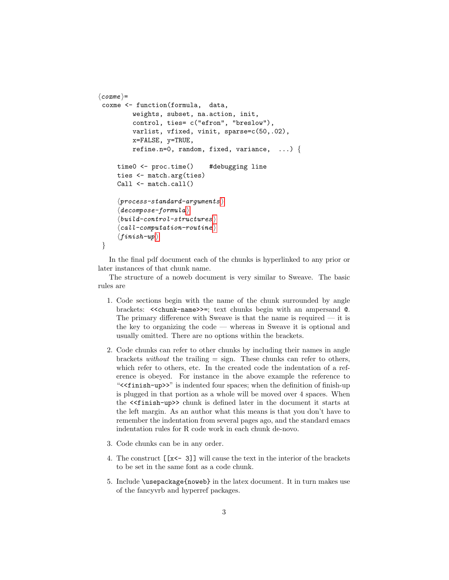```
\langle \textit{coxme} \rangle =coxme <- function(formula, data,
          weights, subset, na.action, init,
          control, ties= c("efron", "breslow"),
          varlist, vfixed, vinit, sparse=c(50,.02),
          x=FALSE, y=TRUE,
          refine.n=0, random, fixed, variance, \ldots) {
     time0 <- proc.time() #debugging line
     ties <- match.arg(ties)
     Call \leftarrow match.call()
     \langle process-standard-arguments \rangle\langle\,de{decompose-formula}\,\rangleit{build-control-structure} \rangle\langleion-routine \rangle\langleinish-up\rangle}
```
In the final pdf document each of the chunks is hyperlinked to any prior or later instances of that chunk name.

The structure of a noweb document is very similar to Sweave. The basic rules are

- 1. Code sections begin with the name of the chunk surrounded by angle brackets: << chunk-name>>=; text chunks begin with an ampersand  $@$ . The primary difference with Sweave is that the name is required  $-$  it is the key to organizing the code — whereas in Sweave it is optional and usually omitted. There are no options within the brackets.
- 2. Code chunks can refer to other chunks by including their names in angle brackets *without* the trailing  $=$  sign. These chunks can refer to others, which refer to others, etc. In the created code the indentation of a reference is obeyed. For instance in the above example the reference to "<<finish-up>>" is indented four spaces; when the definition of finish-up is plugged in that portion as a whole will be moved over 4 spaces. When the <<finish-up>> chunk is defined later in the document it starts at the left margin. As an author what this means is that you don't have to remember the indentation from several pages ago, and the standard emacs indentation rules for R code work in each chunk de-novo.
- 3. Code chunks can be in any order.
- 4. The construct [[x<- 3]] will cause the text in the interior of the brackets to be set in the same font as a code chunk.
- 5. Include \usepackage{noweb} in the latex document. It in turn makes use of the fancyvrb and hyperref packages.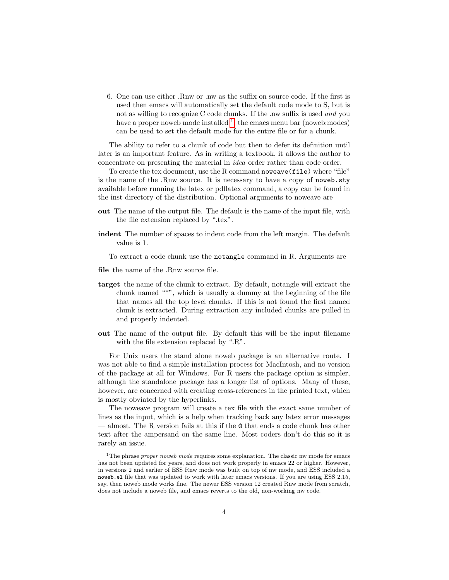6. One can use either .Rnw or .nw as the suffix on source code. If the first is used then emacs will automatically set the default code mode to S, but is not as willing to recognize C code chunks. If the .nw suffix is used and you have a proper noweb mode installed  $\frac{1}{1}$  $\frac{1}{1}$  $\frac{1}{1}$ , the emacs menu bar (noweb:modes) can be used to set the default mode for the entire file or for a chunk.

The ability to refer to a chunk of code but then to defer its definition until later is an important feature. As in writing a textbook, it allows the author to concentrate on presenting the material in idea order rather than code order.

To create the tex document, use the R command noweave(file) where "file" is the name of the .Rnw source. It is necessary to have a copy of noweb.sty available before running the latex or pdflatex command, a copy can be found in the inst directory of the distribution. Optional arguments to noweave are

- out The name of the output file. The default is the name of the input file, with the file extension replaced by ".tex".
- indent The number of spaces to indent code from the left margin. The default value is 1.

To extract a code chunk use the notangle command in R. Arguments are

- file the name of the .Rnw source file.
- target the name of the chunk to extract. By default, notangle will extract the chunk named "\*", which is usually a dummy at the beginning of the file that names all the top level chunks. If this is not found the first named chunk is extracted. During extraction any included chunks are pulled in and properly indented.
- out The name of the output file. By default this will be the input filename with the file extension replaced by ".R".

For Unix users the stand alone noweb package is an alternative route. I was not able to find a simple installation process for MacIntosh, and no version of the package at all for Windows. For R users the package option is simpler, although the standalone package has a longer list of options. Many of these, however, are concerned with creating cross-references in the printed text, which is mostly obviated by the hyperlinks.

The noweave program will create a tex file with the exact same number of lines as the input, which is a help when tracking back any latex error messages — almost. The R version fails at this if the @ that ends a code chunk has other text after the ampersand on the same line. Most coders don't do this so it is rarely an issue.

<span id="page-3-0"></span><sup>&</sup>lt;sup>1</sup>The phrase *proper noweb mode* requires some explanation. The classic nw mode for emacs has not been updated for years, and does not work properly in emacs 22 or higher. However, in versions 2 and earlier of ESS Rnw mode was built on top of nw mode, and ESS included a noweb.el file that was updated to work with later emacs versions. If you are using ESS 2.15, say, then noweb mode works fine. The newer ESS version 12 created Rnw mode from scratch, does not include a noweb file, and emacs reverts to the old, non-working nw code.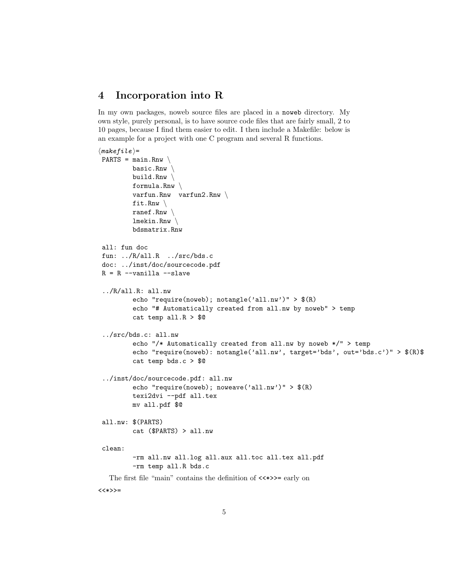## 4 Incorporation into R

In my own packages, noweb source files are placed in a noweb directory. My own style, purely personal, is to have source code files that are fairly small, 2 to 10 pages, because I find them easier to edit. I then include a Makefile: below is an example for a project with one C program and several R functions.

```
\langlemakefile\rangle=
PARTS = main.Rnw \setminusbasic.Rnw \
         build.Rnw \setminusformula.Rnw \setminusvarfun.Rnw varfun2.Rnw \
         fit.Rnw \
         ranef.Rnw \
         lmekin.Rnw \
         bdsmatrix.Rnw
all: fun doc
fun: ../R/all.R ../src/bds.c
doc: ../inst/doc/sourcecode.pdf
R = R --vanilla --slave
 ../R/all.R: all.nw
         echo "require(noweb); notangle('all.nw')" > $(R)
         echo "# Automatically created from all.nw by noweb" > temp
         cat temp all.R > $@
 ../src/bds.c: all.nw
         echo "/* Automatically created from all.nw by noweb */" > temp
         echo "require(noweb): notangle('all.nw', target='bds', out='bds.c')" > $(R)$
         cat temp bds.c > $@
 ../inst/doc/sourcecode.pdf: all.nw
         echo "require(noweb); noweave('all.nw')" > $(R)
         texi2dvi --pdf all.tex
         mv all.pdf $@
all.nw: $(PARTS)
         cat ($PARTS) > all.nw
 clean:
         -rm all.nw all.log all.aux all.toc all.tex all.pdf
         -rm temp all.R bds.c
  The first file "main" contains the definition of <<*>>= early on
<<*>>=
```